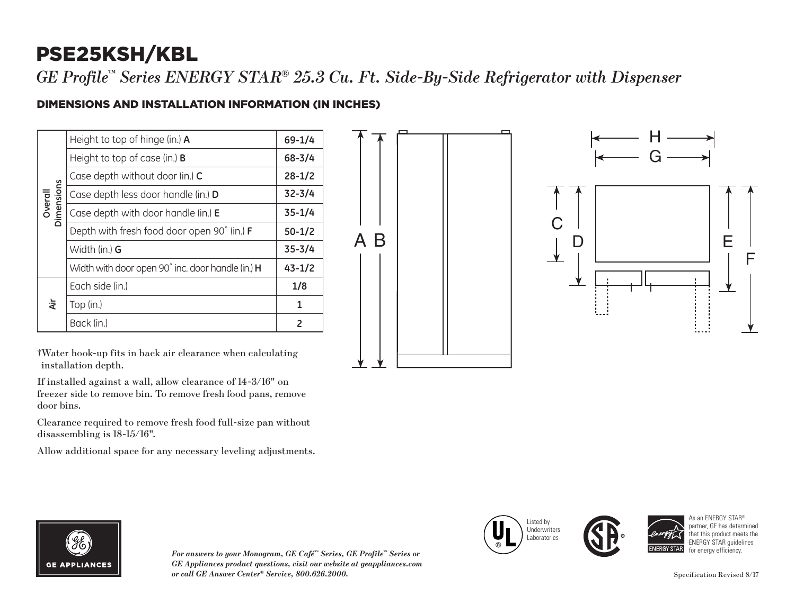# PSE25KSH/KBL

*GE Profile™ Series ENERGY STAR® 25.3 Cu. Ft. Side-By-Side Refrigerator with Dispenser*

#### DIMENSIONS AND INSTALLATION INFORMATION (IN INCHES)

| Overall<br>Dimensions | Height to top of hinge (in.) A                    | $69 - 1/4$ |
|-----------------------|---------------------------------------------------|------------|
|                       | Height to top of case (in.) <b>B</b>              | $68 - 3/4$ |
|                       | Case depth without door (in.) C                   | $28 - 1/2$ |
|                       | Case depth less door handle (in.) D               | $32 - 3/4$ |
|                       | Case depth with door handle (in.) E               | $35 - 1/4$ |
|                       | Depth with fresh food door open 90° (in.) F       | $50 - 1/2$ |
|                       | Width (in.) <b>G</b>                              | $35 - 3/4$ |
|                       | Width with door open 90° inc. door handle (in.) H | $43 - 1/2$ |
| άř                    | Each side (in.)                                   | 1/8        |
|                       | Top (in.)                                         | 1          |
|                       | Back (in.)                                        | 2          |

†Water hook-up fits in back air clearance when calculating installation depth.

If installed against a wall, allow clearance of 14-3/16" on freezer side to remove bin. To remove fresh food pans, remove door bins.

Clearance required to remove fresh food full-size pan without disassembling is 18-15/16".

Allow additional space for any necessary leveling adjustments.





*For answers to your Monogram, GE Café™ Series, GE Profile™ Series or GE Appliances product questions, visit our website at geappliances.com or call GE Answer Center® Service, 800.626.2000.* Specification Revised 8/17







As an ENFRGY STAR<sup>®</sup> partner, GE has dete that this product meets the ENERGY STAR guidelines for energy efficiency.